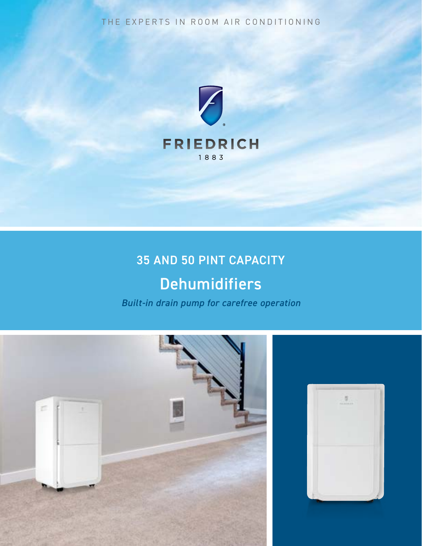THE EXPERTS IN ROOM AIR CONDITIONING



# 35 AND 50 PINT CAPACITY

# **Dehumidifiers**

*Built-in drain pump for carefree operation*



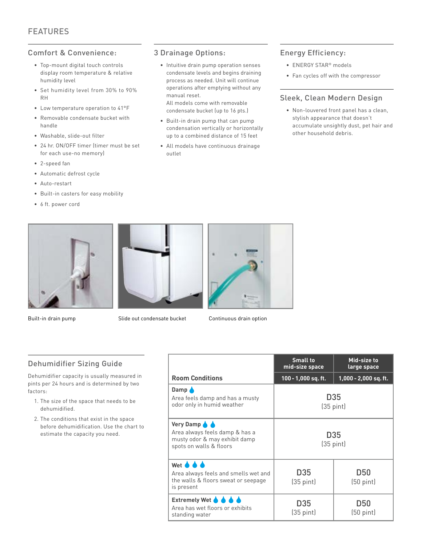#### Comfort & Convenience:

- Top-mount digital touch controls display room temperature & relative humidity level
- Set humidity level from 30% to 90% RH
- Low temperature operation to 41°F
- Removable condensate bucket with handle
- Washable, slide-out filter
- 24 hr. ON/OFF timer (timer must be set for each use-no memory)
- 2-speed fan
- Automatic defrost cycle
- Auto-restart
- Built-in casters for easy mobility
- 6 ft. power cord

#### 3 Drainage Options:

- Intuitive drain pump operation senses condensate levels and begins draining process as needed. Unit will continue operations after emptying without any manual reset. All models come with removable condensate bucket (up to 16 pts.)
- Built-in drain pump that can pump condensation vertically or horizontally up to a combined distance of 15 feet
- All models have continuous drainage outlet

#### Energy Efficiency:

- ENERGY STAR® models
- Fan cycles off with the compressor

#### Sleek, Clean Modern Design

• Non-louvered front panel has a clean, stylish appearance that doesn't accumulate unsightly dust, pet hair and other household debris.





Built-in drain pump Slide out condensate bucket Continuous drain option



#### Dehumidifier Sizing Guide

Dehumidifier capacity is usually measured in pints per 24 hours and is determined by two factors:

- 1. The size of the space that needs to be dehumidified.
- 2. The conditions that exist in the space before dehumidification. Use the chart to estimate the capacity you need.

|                                                                                                                           | <b>Small to</b><br>mid-size space | Mid-size to<br>large space        |  |
|---------------------------------------------------------------------------------------------------------------------------|-----------------------------------|-----------------------------------|--|
| <b>Room Conditions</b>                                                                                                    | 100 - 1,000 sq. ft.               | $1,000 - 2,000$ sq. ft.           |  |
| Damp <b>A</b><br>Area feels damp and has a musty<br>odor only in humid weather                                            | D35<br>$(35 \text{ pint})$        |                                   |  |
| Very Damp & &<br>Area always feels damp & has a<br>musty odor & may exhibit damp<br>spots on walls & floors               | D35<br>$(35 \text{ pint})$        |                                   |  |
| Wet <b>&amp; &amp; &amp;</b><br>Area always feels and smells wet and<br>the walls & floors sweat or seepage<br>is present | D35<br>$(35 \text{ pint})$        | D50<br>$(50 \text{ pint})$        |  |
| Extremely Wet $\bigcirc$ $\bigcirc$ $\bigcirc$ $\bigcirc$<br>Area has wet floors or exhibits<br>standing water            | D35<br>$(35 \text{ pint})$        | <b>D50</b><br>$(50 \text{ pint})$ |  |